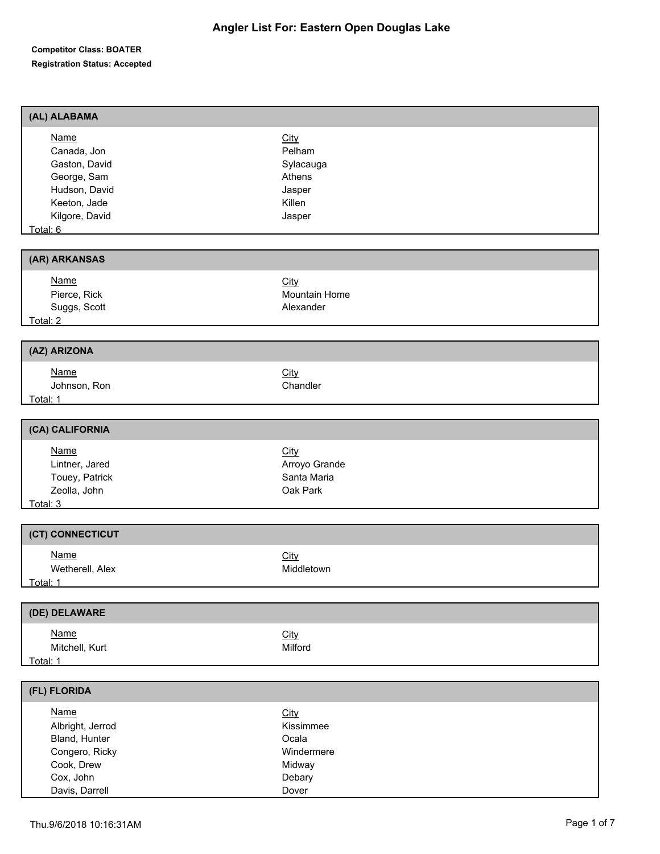| (AL) ALABAMA                                            |               |
|---------------------------------------------------------|---------------|
| <b>Name</b>                                             | City          |
| Canada, Jon                                             | Pelham        |
| Gaston, David                                           | Sylacauga     |
| George, Sam                                             | Athens        |
| Hudson, David                                           | Jasper        |
| Keeton, Jade                                            | Killen        |
| Kilgore, David                                          | Jasper        |
| Total: 6<br><u>and a state</u>                          |               |
| (AR) ARKANSAS                                           |               |
| <b>Name</b>                                             | City          |
| Pierce, Rick                                            | Mountain Home |
| Suggs, Scott                                            | Alexander     |
| Total: 2                                                |               |
| (AZ) ARIZONA                                            |               |
|                                                         |               |
| <b>Name</b>                                             | City          |
| Johnson, Ron                                            | Chandler      |
| Total: 1 <u>Community Community Community Community</u> |               |
| (CA) CALIFORNIA                                         |               |
| <b>Name</b>                                             | City          |
| Lintner, Jared                                          | Arroyo Grande |
| Touey, Patrick                                          | Santa Maria   |
| Zeolla, John                                            | Oak Park      |
| Total: 3                                                |               |
|                                                         |               |
| (CT) CONNECTICUT                                        |               |
| <b>Name</b>                                             | City          |
| Wetherell, Alex                                         | Middletown    |
| Total: 1                                                |               |
| (DE) DELAWARE                                           |               |
| <b>Name</b>                                             | City          |
| Mitchell, Kurt                                          | Milford       |
| Total: 1                                                |               |
|                                                         |               |
| (FL) FLORIDA                                            |               |
| <b>Name</b>                                             | City          |
| Albright, Jerrod                                        | Kissimmee     |
| Bland, Hunter                                           | Ocala         |
| Congero, Ricky                                          | Windermere    |
| Cook, Drew                                              | Midway        |
| Cox, John                                               | Debary        |
| Davis, Darrell                                          | Dover         |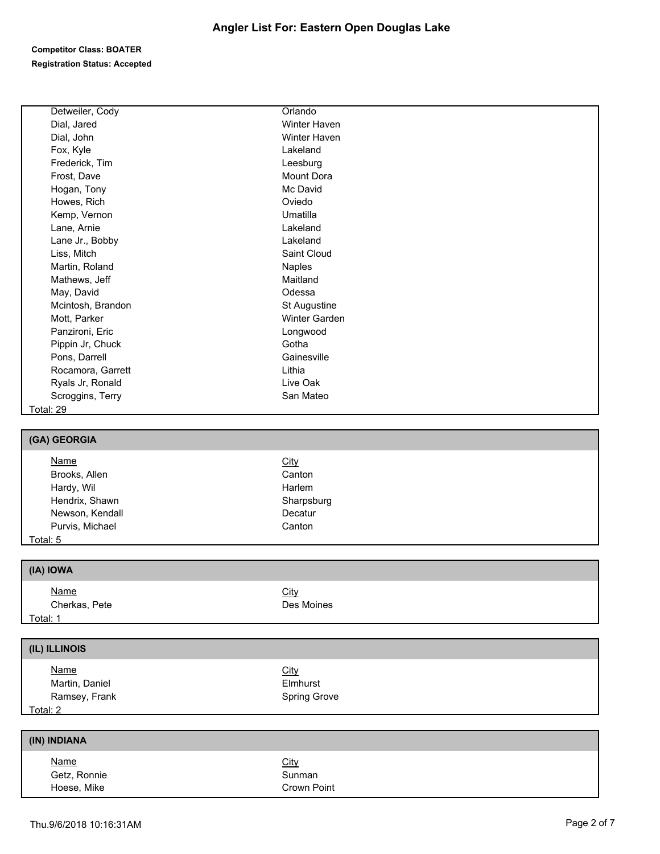| Detweiler, Cody   | Orlando       |  |  |
|-------------------|---------------|--|--|
|                   |               |  |  |
| Dial, Jared       | Winter Haven  |  |  |
| Dial, John        | Winter Haven  |  |  |
| Fox, Kyle         | Lakeland      |  |  |
| Frederick, Tim    | Leesburg      |  |  |
| Frost, Dave       | Mount Dora    |  |  |
| Hogan, Tony       | Mc David      |  |  |
| Howes, Rich       | Oviedo        |  |  |
| Kemp, Vernon      | Umatilla      |  |  |
| Lane, Arnie       | Lakeland      |  |  |
| Lane Jr., Bobby   | Lakeland      |  |  |
| Liss, Mitch       | Saint Cloud   |  |  |
| Martin, Roland    | Naples        |  |  |
| Mathews, Jeff     | Maitland      |  |  |
| May, David        | Odessa        |  |  |
| Mcintosh, Brandon | St Augustine  |  |  |
| Mott, Parker      | Winter Garden |  |  |
| Panzironi, Eric   | Longwood      |  |  |
| Pippin Jr, Chuck  | Gotha         |  |  |
| Pons, Darrell     | Gainesville   |  |  |
| Rocamora, Garrett | Lithia        |  |  |
| Ryals Jr, Ronald  | Live Oak      |  |  |
| Scroggins, Terry  | San Mateo     |  |  |
| <b>Total: 29</b>  |               |  |  |
|                   |               |  |  |
| (GA) GEORGIA      |               |  |  |
| <b>Name</b>       | <b>City</b>   |  |  |
| Brooks, Allen     | Canton        |  |  |
| Hardy, Wil        | Harlem        |  |  |
| Hendrix, Shawn    | Sharpsburg    |  |  |
| Newson, Kendall   | Decatur       |  |  |
| Purvis, Michael   | Canton        |  |  |
| Total: 5          |               |  |  |
|                   |               |  |  |
| (IA) IOWA         |               |  |  |
| <b>Name</b>       | City          |  |  |
| Cherkas, Pete     | Des Moines    |  |  |
| Total: 1          |               |  |  |
|                   |               |  |  |
| (IL) ILLINOIS     |               |  |  |
|                   |               |  |  |
| <b>Name</b>       | <b>City</b>   |  |  |
| Martin, Daniel    | Elmhurst      |  |  |
| Ramsey, Frank     | Spring Grove  |  |  |
| Total: 2          |               |  |  |
| (IN) INDIANA      |               |  |  |
|                   |               |  |  |
| <b>Name</b>       | <b>City</b>   |  |  |
| Getz, Ronnie      | Sunman        |  |  |
|                   |               |  |  |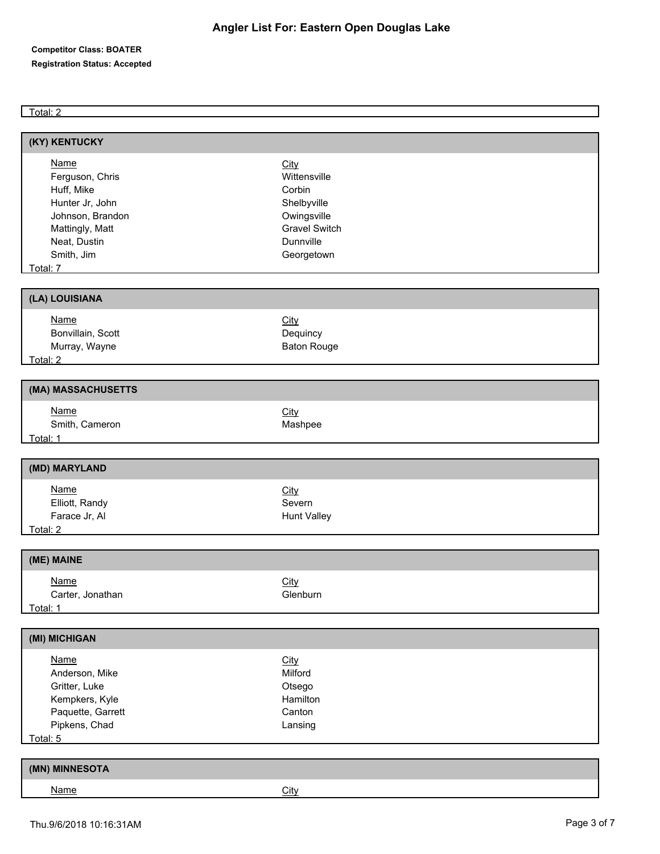#### Total: 2

| (KY) KENTUCKY                                                                                                                                                       |                                                                                                                 |
|---------------------------------------------------------------------------------------------------------------------------------------------------------------------|-----------------------------------------------------------------------------------------------------------------|
| Name<br>Ferguson, Chris<br>Huff, Mike<br>Hunter Jr, John<br>Johnson, Brandon<br>Mattingly, Matt<br>Neat, Dustin<br>Smith, Jim<br>Total: 7                           | City<br>Wittensville<br>Corbin<br>Shelbyville<br>Owingsville<br><b>Gravel Switch</b><br>Dunnville<br>Georgetown |
| (LA) LOUISIANA                                                                                                                                                      |                                                                                                                 |
| <b>Name</b><br>Bonvillain, Scott<br>Murray, Wayne<br>Total: 2 and 2 and 2 and 2 and 2 and 2 and 2 and 2 and 2 and 2 and 2 and 2 and 2 and 2 and 2 and 2 and 2 and 2 | City<br>Dequincy<br><b>Baton Rouge</b>                                                                          |
| (MA) MASSACHUSETTS                                                                                                                                                  |                                                                                                                 |
| <b>Name</b><br>Smith, Cameron<br>Total: 1                                                                                                                           | City<br>Mashpee                                                                                                 |
| (MD) MARYLAND                                                                                                                                                       |                                                                                                                 |
| <b>Name</b><br>Elliott, Randy<br>Farace Jr, Al<br>Total: 2 and 2 and 2 and 2 and 2 and 2 and 2 and 2 and 2 and 2 and 2 and 2 and 2 and 2 and 2 and 2 and 2 and 2    | City<br>Severn<br>Hunt Valley                                                                                   |
| (ME) MAINE                                                                                                                                                          |                                                                                                                 |
| <b>Name</b><br>Carter, Jonathan<br>Total: 1                                                                                                                         | City<br>Glenburn                                                                                                |
| (MI) MICHIGAN                                                                                                                                                       |                                                                                                                 |
| <b>Name</b><br>Anderson, Mike<br>Gritter, Luke<br>Kempkers, Kyle<br>Paquette, Garrett<br>Pipkens, Chad<br>Total: 5                                                  | City<br>Milford<br>Otsego<br>Hamilton<br>Canton<br>Lansing                                                      |
| (MN) MINNESOTA                                                                                                                                                      |                                                                                                                 |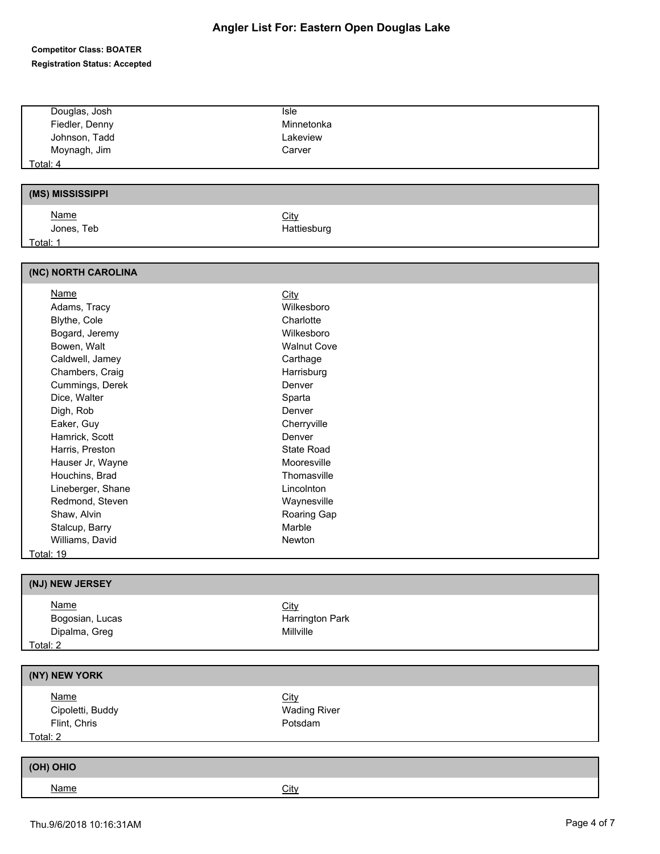# **Angler List For: Eastern Open Douglas Lake**

| Douglas, Josh<br>Isle<br>Fiedler, Denny<br>Minnetonka<br>Johnson, Tadd<br>Lakeview<br>Moynagh, Jim<br>Carver<br><u>Total: 4</u><br>(MS) MISSISSIPPI<br><b>Name</b><br><b>City</b><br>Jones, Teb<br>Hattiesburg<br>Total: 1<br>(NC) NORTH CAROLINA<br><b>Name</b><br><b>City</b><br>Wilkesboro<br>Adams, Tracy<br>Blythe, Cole<br>Charlotte<br>Bogard, Jeremy<br>Wilkesboro<br>Bowen, Walt<br><b>Walnut Cove</b><br>Caldwell, Jamey<br>Carthage<br>Chambers, Craig<br>Harrisburg<br>Cummings, Derek<br>Denver<br>Dice, Walter<br>Sparta<br>Digh, Rob<br>Denver<br>Eaker, Guy<br>Cherryville<br>Hamrick, Scott<br>Denver<br>Harris, Preston<br>State Road<br>Hauser Jr, Wayne<br>Mooresville<br>Houchins, Brad<br>Thomasville<br>Lineberger, Shane<br>Lincolnton<br>Redmond, Steven<br>Waynesville<br>Shaw, Alvin<br>Roaring Gap<br>Stalcup, Barry<br>Marble<br>Williams, David<br>Newton<br><b>Total: 19</b><br>(NJ) NEW JERSEY<br><b>Name</b><br>City<br>Bogosian, Lucas<br>Harrington Park<br>Dipalma, Greg<br>Millville<br>Total: 2<br>(NY) NEW YORK<br><b>Name</b><br><b>City</b><br><b>Wading River</b><br>Cipoletti, Buddy<br>Flint, Chris<br>Potsdam<br>Total: 2<br>(OH) OHIO<br><b>Name</b><br>City |  |
|------------------------------------------------------------------------------------------------------------------------------------------------------------------------------------------------------------------------------------------------------------------------------------------------------------------------------------------------------------------------------------------------------------------------------------------------------------------------------------------------------------------------------------------------------------------------------------------------------------------------------------------------------------------------------------------------------------------------------------------------------------------------------------------------------------------------------------------------------------------------------------------------------------------------------------------------------------------------------------------------------------------------------------------------------------------------------------------------------------------------------------------------------------------------------------------------------------|--|
|                                                                                                                                                                                                                                                                                                                                                                                                                                                                                                                                                                                                                                                                                                                                                                                                                                                                                                                                                                                                                                                                                                                                                                                                            |  |
|                                                                                                                                                                                                                                                                                                                                                                                                                                                                                                                                                                                                                                                                                                                                                                                                                                                                                                                                                                                                                                                                                                                                                                                                            |  |
|                                                                                                                                                                                                                                                                                                                                                                                                                                                                                                                                                                                                                                                                                                                                                                                                                                                                                                                                                                                                                                                                                                                                                                                                            |  |
|                                                                                                                                                                                                                                                                                                                                                                                                                                                                                                                                                                                                                                                                                                                                                                                                                                                                                                                                                                                                                                                                                                                                                                                                            |  |
|                                                                                                                                                                                                                                                                                                                                                                                                                                                                                                                                                                                                                                                                                                                                                                                                                                                                                                                                                                                                                                                                                                                                                                                                            |  |
|                                                                                                                                                                                                                                                                                                                                                                                                                                                                                                                                                                                                                                                                                                                                                                                                                                                                                                                                                                                                                                                                                                                                                                                                            |  |
|                                                                                                                                                                                                                                                                                                                                                                                                                                                                                                                                                                                                                                                                                                                                                                                                                                                                                                                                                                                                                                                                                                                                                                                                            |  |
|                                                                                                                                                                                                                                                                                                                                                                                                                                                                                                                                                                                                                                                                                                                                                                                                                                                                                                                                                                                                                                                                                                                                                                                                            |  |
|                                                                                                                                                                                                                                                                                                                                                                                                                                                                                                                                                                                                                                                                                                                                                                                                                                                                                                                                                                                                                                                                                                                                                                                                            |  |
|                                                                                                                                                                                                                                                                                                                                                                                                                                                                                                                                                                                                                                                                                                                                                                                                                                                                                                                                                                                                                                                                                                                                                                                                            |  |
|                                                                                                                                                                                                                                                                                                                                                                                                                                                                                                                                                                                                                                                                                                                                                                                                                                                                                                                                                                                                                                                                                                                                                                                                            |  |
|                                                                                                                                                                                                                                                                                                                                                                                                                                                                                                                                                                                                                                                                                                                                                                                                                                                                                                                                                                                                                                                                                                                                                                                                            |  |
|                                                                                                                                                                                                                                                                                                                                                                                                                                                                                                                                                                                                                                                                                                                                                                                                                                                                                                                                                                                                                                                                                                                                                                                                            |  |
|                                                                                                                                                                                                                                                                                                                                                                                                                                                                                                                                                                                                                                                                                                                                                                                                                                                                                                                                                                                                                                                                                                                                                                                                            |  |
|                                                                                                                                                                                                                                                                                                                                                                                                                                                                                                                                                                                                                                                                                                                                                                                                                                                                                                                                                                                                                                                                                                                                                                                                            |  |
|                                                                                                                                                                                                                                                                                                                                                                                                                                                                                                                                                                                                                                                                                                                                                                                                                                                                                                                                                                                                                                                                                                                                                                                                            |  |
|                                                                                                                                                                                                                                                                                                                                                                                                                                                                                                                                                                                                                                                                                                                                                                                                                                                                                                                                                                                                                                                                                                                                                                                                            |  |
|                                                                                                                                                                                                                                                                                                                                                                                                                                                                                                                                                                                                                                                                                                                                                                                                                                                                                                                                                                                                                                                                                                                                                                                                            |  |
|                                                                                                                                                                                                                                                                                                                                                                                                                                                                                                                                                                                                                                                                                                                                                                                                                                                                                                                                                                                                                                                                                                                                                                                                            |  |
|                                                                                                                                                                                                                                                                                                                                                                                                                                                                                                                                                                                                                                                                                                                                                                                                                                                                                                                                                                                                                                                                                                                                                                                                            |  |
|                                                                                                                                                                                                                                                                                                                                                                                                                                                                                                                                                                                                                                                                                                                                                                                                                                                                                                                                                                                                                                                                                                                                                                                                            |  |
|                                                                                                                                                                                                                                                                                                                                                                                                                                                                                                                                                                                                                                                                                                                                                                                                                                                                                                                                                                                                                                                                                                                                                                                                            |  |
|                                                                                                                                                                                                                                                                                                                                                                                                                                                                                                                                                                                                                                                                                                                                                                                                                                                                                                                                                                                                                                                                                                                                                                                                            |  |
|                                                                                                                                                                                                                                                                                                                                                                                                                                                                                                                                                                                                                                                                                                                                                                                                                                                                                                                                                                                                                                                                                                                                                                                                            |  |
|                                                                                                                                                                                                                                                                                                                                                                                                                                                                                                                                                                                                                                                                                                                                                                                                                                                                                                                                                                                                                                                                                                                                                                                                            |  |
|                                                                                                                                                                                                                                                                                                                                                                                                                                                                                                                                                                                                                                                                                                                                                                                                                                                                                                                                                                                                                                                                                                                                                                                                            |  |
|                                                                                                                                                                                                                                                                                                                                                                                                                                                                                                                                                                                                                                                                                                                                                                                                                                                                                                                                                                                                                                                                                                                                                                                                            |  |
|                                                                                                                                                                                                                                                                                                                                                                                                                                                                                                                                                                                                                                                                                                                                                                                                                                                                                                                                                                                                                                                                                                                                                                                                            |  |
|                                                                                                                                                                                                                                                                                                                                                                                                                                                                                                                                                                                                                                                                                                                                                                                                                                                                                                                                                                                                                                                                                                                                                                                                            |  |
|                                                                                                                                                                                                                                                                                                                                                                                                                                                                                                                                                                                                                                                                                                                                                                                                                                                                                                                                                                                                                                                                                                                                                                                                            |  |
|                                                                                                                                                                                                                                                                                                                                                                                                                                                                                                                                                                                                                                                                                                                                                                                                                                                                                                                                                                                                                                                                                                                                                                                                            |  |
|                                                                                                                                                                                                                                                                                                                                                                                                                                                                                                                                                                                                                                                                                                                                                                                                                                                                                                                                                                                                                                                                                                                                                                                                            |  |
|                                                                                                                                                                                                                                                                                                                                                                                                                                                                                                                                                                                                                                                                                                                                                                                                                                                                                                                                                                                                                                                                                                                                                                                                            |  |
|                                                                                                                                                                                                                                                                                                                                                                                                                                                                                                                                                                                                                                                                                                                                                                                                                                                                                                                                                                                                                                                                                                                                                                                                            |  |
|                                                                                                                                                                                                                                                                                                                                                                                                                                                                                                                                                                                                                                                                                                                                                                                                                                                                                                                                                                                                                                                                                                                                                                                                            |  |
|                                                                                                                                                                                                                                                                                                                                                                                                                                                                                                                                                                                                                                                                                                                                                                                                                                                                                                                                                                                                                                                                                                                                                                                                            |  |
|                                                                                                                                                                                                                                                                                                                                                                                                                                                                                                                                                                                                                                                                                                                                                                                                                                                                                                                                                                                                                                                                                                                                                                                                            |  |
|                                                                                                                                                                                                                                                                                                                                                                                                                                                                                                                                                                                                                                                                                                                                                                                                                                                                                                                                                                                                                                                                                                                                                                                                            |  |
|                                                                                                                                                                                                                                                                                                                                                                                                                                                                                                                                                                                                                                                                                                                                                                                                                                                                                                                                                                                                                                                                                                                                                                                                            |  |
|                                                                                                                                                                                                                                                                                                                                                                                                                                                                                                                                                                                                                                                                                                                                                                                                                                                                                                                                                                                                                                                                                                                                                                                                            |  |
|                                                                                                                                                                                                                                                                                                                                                                                                                                                                                                                                                                                                                                                                                                                                                                                                                                                                                                                                                                                                                                                                                                                                                                                                            |  |
|                                                                                                                                                                                                                                                                                                                                                                                                                                                                                                                                                                                                                                                                                                                                                                                                                                                                                                                                                                                                                                                                                                                                                                                                            |  |
|                                                                                                                                                                                                                                                                                                                                                                                                                                                                                                                                                                                                                                                                                                                                                                                                                                                                                                                                                                                                                                                                                                                                                                                                            |  |
|                                                                                                                                                                                                                                                                                                                                                                                                                                                                                                                                                                                                                                                                                                                                                                                                                                                                                                                                                                                                                                                                                                                                                                                                            |  |
|                                                                                                                                                                                                                                                                                                                                                                                                                                                                                                                                                                                                                                                                                                                                                                                                                                                                                                                                                                                                                                                                                                                                                                                                            |  |
|                                                                                                                                                                                                                                                                                                                                                                                                                                                                                                                                                                                                                                                                                                                                                                                                                                                                                                                                                                                                                                                                                                                                                                                                            |  |
|                                                                                                                                                                                                                                                                                                                                                                                                                                                                                                                                                                                                                                                                                                                                                                                                                                                                                                                                                                                                                                                                                                                                                                                                            |  |
|                                                                                                                                                                                                                                                                                                                                                                                                                                                                                                                                                                                                                                                                                                                                                                                                                                                                                                                                                                                                                                                                                                                                                                                                            |  |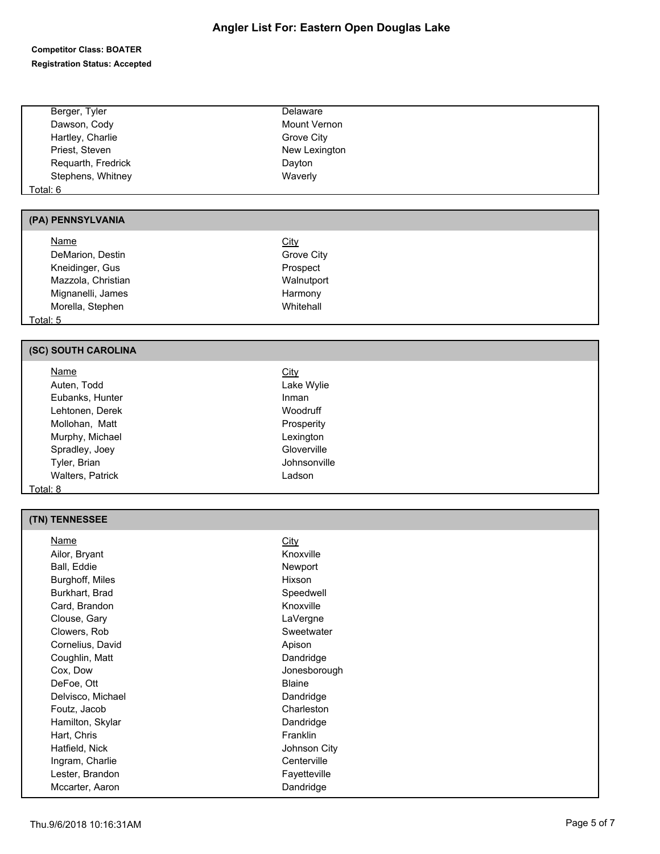## **Angler List For: Eastern Open Douglas Lake**

#### **Competitor Class: BOATER Registration Status: Accepted**

| Berger, Tyler      | Delaware      |
|--------------------|---------------|
| Dawson, Cody       | Mount Vernon  |
| Hartley, Charlie   | Grove City    |
| Priest, Steven     | New Lexington |
| Requarth, Fredrick | Dayton        |
| Stephens, Whitney  | Waverly       |
| Total: 6           |               |
|                    |               |

#### **(PA) PENNSYLVANIA**

| <b>Name</b>        | City       |  |
|--------------------|------------|--|
| DeMarion, Destin   | Grove City |  |
| Kneidinger, Gus    | Prospect   |  |
| Mazzola, Christian | Walnutport |  |
| Mignanelli, James  | Harmony    |  |
| Morella, Stephen   | Whitehall  |  |
| .                  |            |  |

Total: 5

## **(SC) SOUTH CAROLINA**

| Name             | <u>City</u>  |  |
|------------------|--------------|--|
| Auten, Todd      | Lake Wylie   |  |
| Eubanks, Hunter  | Inman        |  |
| Lehtonen, Derek  | Woodruff     |  |
| Mollohan, Matt   | Prosperity   |  |
| Murphy, Michael  | Lexington    |  |
| Spradley, Joey   | Gloverville  |  |
| Tyler, Brian     | Johnsonville |  |
| Walters, Patrick | Ladson       |  |
| Total: 8         |              |  |

## **(TN) TENNESSEE**

| Name              | <b>City</b>   |
|-------------------|---------------|
| Ailor, Bryant     | Knoxville     |
| Ball, Eddie       | Newport       |
| Burghoff, Miles   | Hixson        |
| Burkhart, Brad    | Speedwell     |
| Card, Brandon     | Knoxville     |
| Clouse, Gary      | LaVergne      |
| Clowers, Rob      | Sweetwater    |
| Cornelius, David  | Apison        |
| Coughlin, Matt    | Dandridge     |
| Cox, Dow          | Jonesborough  |
| DeFoe, Ott        | <b>Blaine</b> |
| Delvisco, Michael | Dandridge     |
| Foutz, Jacob      | Charleston    |
| Hamilton, Skylar  | Dandridge     |
| Hart, Chris       | Franklin      |
| Hatfield, Nick    | Johnson City  |
| Ingram, Charlie   | Centerville   |
| Lester, Brandon   | Fayetteville  |
| Mccarter, Aaron   | Dandridge     |
|                   |               |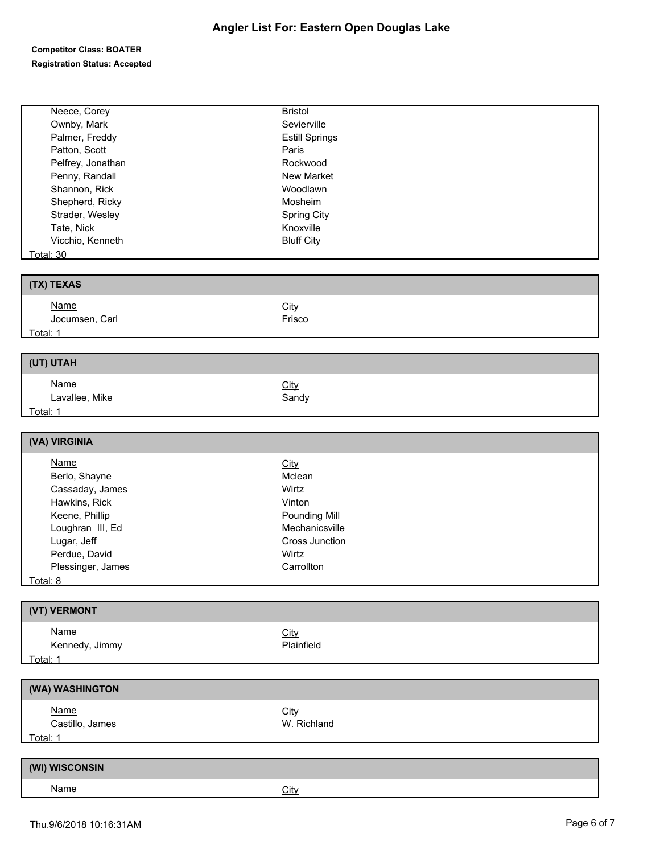| Ownby, Mark<br>Sevierville<br>Palmer, Freddy<br><b>Estill Springs</b><br>Patton, Scott<br>Paris<br>Pelfrey, Jonathan<br>Rockwood<br>Penny, Randall<br>New Market<br>Shannon, Rick<br>Woodlawn<br>Shepherd, Ricky<br>Mosheim<br>Strader, Wesley<br><b>Spring City</b><br>Tate, Nick<br>Knoxville<br>Vicchio, Kenneth<br><b>Bluff City</b><br><b>Total: 30</b><br>(TX) TEXAS<br><b>Name</b><br>City<br>Jocumsen, Carl<br>Frisco<br>Total: 1<br>(UT) UTAH<br><b>Name</b><br>City<br>Lavallee, Mike<br>Sandy<br>Total: 1<br>(VA) VIRGINIA<br><b>Name</b><br>City<br>Berlo, Shayne<br>Mclean<br>Cassaday, James<br>Wirtz<br>Hawkins, Rick<br>Vinton<br>Keene, Phillip<br>Pounding Mill<br>Loughran III, Ed<br>Mechanicsville<br>Lugar, Jeff<br>Cross Junction<br>Perdue, David<br>Wirtz<br>Plessinger, James<br>Carrollton<br>Total: 8<br>(VT) VERMONT<br>Name<br>City<br>Kennedy, Jimmy<br>Plainfield<br>Total: 1<br>(WA) WASHINGTON<br><b>Name</b><br>City<br>Castillo, James<br>W. Richland<br><u>Total: 1</u><br>(WI) WISCONSIN<br><b>Name</b><br><b>City</b> | Neece, Corey | <b>Bristol</b> |
|--------------------------------------------------------------------------------------------------------------------------------------------------------------------------------------------------------------------------------------------------------------------------------------------------------------------------------------------------------------------------------------------------------------------------------------------------------------------------------------------------------------------------------------------------------------------------------------------------------------------------------------------------------------------------------------------------------------------------------------------------------------------------------------------------------------------------------------------------------------------------------------------------------------------------------------------------------------------------------------------------------------------------------------------------------------|--------------|----------------|
|                                                                                                                                                                                                                                                                                                                                                                                                                                                                                                                                                                                                                                                                                                                                                                                                                                                                                                                                                                                                                                                              |              |                |
|                                                                                                                                                                                                                                                                                                                                                                                                                                                                                                                                                                                                                                                                                                                                                                                                                                                                                                                                                                                                                                                              |              |                |
|                                                                                                                                                                                                                                                                                                                                                                                                                                                                                                                                                                                                                                                                                                                                                                                                                                                                                                                                                                                                                                                              |              |                |
|                                                                                                                                                                                                                                                                                                                                                                                                                                                                                                                                                                                                                                                                                                                                                                                                                                                                                                                                                                                                                                                              |              |                |
|                                                                                                                                                                                                                                                                                                                                                                                                                                                                                                                                                                                                                                                                                                                                                                                                                                                                                                                                                                                                                                                              |              |                |
|                                                                                                                                                                                                                                                                                                                                                                                                                                                                                                                                                                                                                                                                                                                                                                                                                                                                                                                                                                                                                                                              |              |                |
|                                                                                                                                                                                                                                                                                                                                                                                                                                                                                                                                                                                                                                                                                                                                                                                                                                                                                                                                                                                                                                                              |              |                |
|                                                                                                                                                                                                                                                                                                                                                                                                                                                                                                                                                                                                                                                                                                                                                                                                                                                                                                                                                                                                                                                              |              |                |
|                                                                                                                                                                                                                                                                                                                                                                                                                                                                                                                                                                                                                                                                                                                                                                                                                                                                                                                                                                                                                                                              |              |                |
|                                                                                                                                                                                                                                                                                                                                                                                                                                                                                                                                                                                                                                                                                                                                                                                                                                                                                                                                                                                                                                                              |              |                |
|                                                                                                                                                                                                                                                                                                                                                                                                                                                                                                                                                                                                                                                                                                                                                                                                                                                                                                                                                                                                                                                              |              |                |
|                                                                                                                                                                                                                                                                                                                                                                                                                                                                                                                                                                                                                                                                                                                                                                                                                                                                                                                                                                                                                                                              |              |                |
|                                                                                                                                                                                                                                                                                                                                                                                                                                                                                                                                                                                                                                                                                                                                                                                                                                                                                                                                                                                                                                                              |              |                |
|                                                                                                                                                                                                                                                                                                                                                                                                                                                                                                                                                                                                                                                                                                                                                                                                                                                                                                                                                                                                                                                              |              |                |
|                                                                                                                                                                                                                                                                                                                                                                                                                                                                                                                                                                                                                                                                                                                                                                                                                                                                                                                                                                                                                                                              |              |                |
|                                                                                                                                                                                                                                                                                                                                                                                                                                                                                                                                                                                                                                                                                                                                                                                                                                                                                                                                                                                                                                                              |              |                |
|                                                                                                                                                                                                                                                                                                                                                                                                                                                                                                                                                                                                                                                                                                                                                                                                                                                                                                                                                                                                                                                              |              |                |
|                                                                                                                                                                                                                                                                                                                                                                                                                                                                                                                                                                                                                                                                                                                                                                                                                                                                                                                                                                                                                                                              |              |                |
|                                                                                                                                                                                                                                                                                                                                                                                                                                                                                                                                                                                                                                                                                                                                                                                                                                                                                                                                                                                                                                                              |              |                |
|                                                                                                                                                                                                                                                                                                                                                                                                                                                                                                                                                                                                                                                                                                                                                                                                                                                                                                                                                                                                                                                              |              |                |
|                                                                                                                                                                                                                                                                                                                                                                                                                                                                                                                                                                                                                                                                                                                                                                                                                                                                                                                                                                                                                                                              |              |                |
|                                                                                                                                                                                                                                                                                                                                                                                                                                                                                                                                                                                                                                                                                                                                                                                                                                                                                                                                                                                                                                                              |              |                |
|                                                                                                                                                                                                                                                                                                                                                                                                                                                                                                                                                                                                                                                                                                                                                                                                                                                                                                                                                                                                                                                              |              |                |
|                                                                                                                                                                                                                                                                                                                                                                                                                                                                                                                                                                                                                                                                                                                                                                                                                                                                                                                                                                                                                                                              |              |                |
|                                                                                                                                                                                                                                                                                                                                                                                                                                                                                                                                                                                                                                                                                                                                                                                                                                                                                                                                                                                                                                                              |              |                |
|                                                                                                                                                                                                                                                                                                                                                                                                                                                                                                                                                                                                                                                                                                                                                                                                                                                                                                                                                                                                                                                              |              |                |
|                                                                                                                                                                                                                                                                                                                                                                                                                                                                                                                                                                                                                                                                                                                                                                                                                                                                                                                                                                                                                                                              |              |                |
|                                                                                                                                                                                                                                                                                                                                                                                                                                                                                                                                                                                                                                                                                                                                                                                                                                                                                                                                                                                                                                                              |              |                |
|                                                                                                                                                                                                                                                                                                                                                                                                                                                                                                                                                                                                                                                                                                                                                                                                                                                                                                                                                                                                                                                              |              |                |
|                                                                                                                                                                                                                                                                                                                                                                                                                                                                                                                                                                                                                                                                                                                                                                                                                                                                                                                                                                                                                                                              |              |                |
|                                                                                                                                                                                                                                                                                                                                                                                                                                                                                                                                                                                                                                                                                                                                                                                                                                                                                                                                                                                                                                                              |              |                |
|                                                                                                                                                                                                                                                                                                                                                                                                                                                                                                                                                                                                                                                                                                                                                                                                                                                                                                                                                                                                                                                              |              |                |
|                                                                                                                                                                                                                                                                                                                                                                                                                                                                                                                                                                                                                                                                                                                                                                                                                                                                                                                                                                                                                                                              |              |                |
|                                                                                                                                                                                                                                                                                                                                                                                                                                                                                                                                                                                                                                                                                                                                                                                                                                                                                                                                                                                                                                                              |              |                |
|                                                                                                                                                                                                                                                                                                                                                                                                                                                                                                                                                                                                                                                                                                                                                                                                                                                                                                                                                                                                                                                              |              |                |
|                                                                                                                                                                                                                                                                                                                                                                                                                                                                                                                                                                                                                                                                                                                                                                                                                                                                                                                                                                                                                                                              |              |                |
|                                                                                                                                                                                                                                                                                                                                                                                                                                                                                                                                                                                                                                                                                                                                                                                                                                                                                                                                                                                                                                                              |              |                |
|                                                                                                                                                                                                                                                                                                                                                                                                                                                                                                                                                                                                                                                                                                                                                                                                                                                                                                                                                                                                                                                              |              |                |
|                                                                                                                                                                                                                                                                                                                                                                                                                                                                                                                                                                                                                                                                                                                                                                                                                                                                                                                                                                                                                                                              |              |                |
|                                                                                                                                                                                                                                                                                                                                                                                                                                                                                                                                                                                                                                                                                                                                                                                                                                                                                                                                                                                                                                                              |              |                |
|                                                                                                                                                                                                                                                                                                                                                                                                                                                                                                                                                                                                                                                                                                                                                                                                                                                                                                                                                                                                                                                              |              |                |
|                                                                                                                                                                                                                                                                                                                                                                                                                                                                                                                                                                                                                                                                                                                                                                                                                                                                                                                                                                                                                                                              |              |                |
|                                                                                                                                                                                                                                                                                                                                                                                                                                                                                                                                                                                                                                                                                                                                                                                                                                                                                                                                                                                                                                                              |              |                |
|                                                                                                                                                                                                                                                                                                                                                                                                                                                                                                                                                                                                                                                                                                                                                                                                                                                                                                                                                                                                                                                              |              |                |
|                                                                                                                                                                                                                                                                                                                                                                                                                                                                                                                                                                                                                                                                                                                                                                                                                                                                                                                                                                                                                                                              |              |                |
|                                                                                                                                                                                                                                                                                                                                                                                                                                                                                                                                                                                                                                                                                                                                                                                                                                                                                                                                                                                                                                                              |              |                |